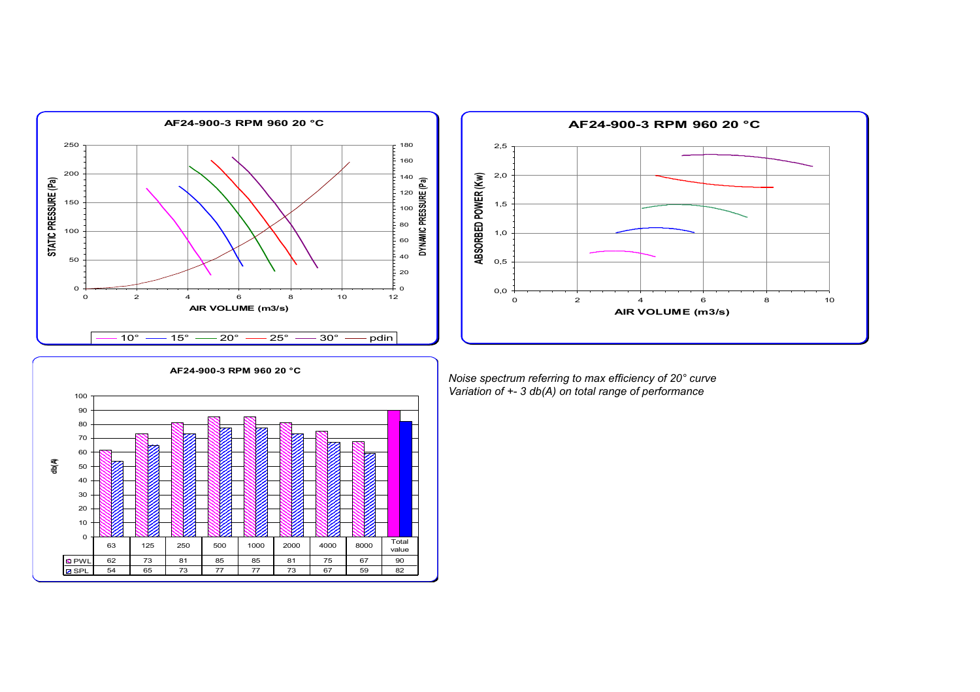



*Noise spectrum referring to max efficiency of 20° curve Variation of +- 3 db(A) on total range of performance*

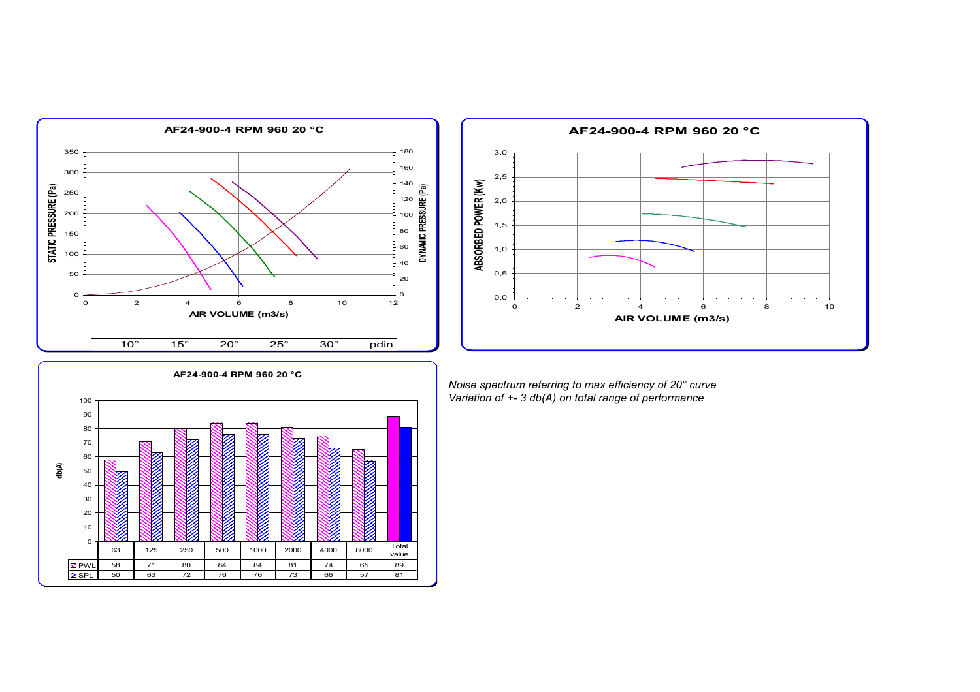





*Noise spectrum referring to max efficiency of 20° curve Variation of +- 3 db(A) on total range of performance*